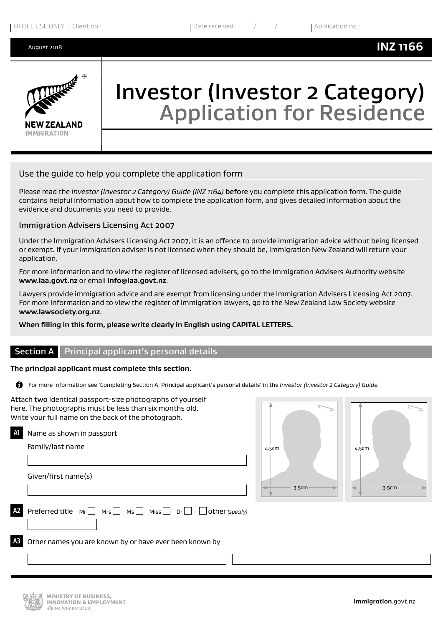

# Investor (Investor 2 Category) Application for Residence

# Use the guide to help you complete the application form

Please read the *Investor (Investor 2 Category) Guide (INZ 1164)* before you complete this application form. The guide contains helpful information about how to complete the application form, and gives detailed information about the evidence and documents you need to provide.

#### Immigration Advisers Licensing Act 2007

Under the Immigration Advisers Licensing Act 2007, it is an offence to provide immigration advice without being licensed or exempt. If your immigration adviser is not licensed when they should be, Immigration New Zealand will return your application.

For more information and to view the register of licensed advisers, go to the Immigration Advisers Authority website **www.iaa.govt.nz** or email **info@iaa.govt.nz**.

Lawyers provide immigration advice and are exempt from licensing under the Immigration Advisers Licensing Act 2007. For more information and to view the register of immigration lawyers, go to the New Zealand Law Society website **www.lawsociety.org.nz**.

#### **When filling in this form, please write clearly in English using CAPITAL LETTERS.**

#### **Section A** Principal applicant's personal details

#### **The principal applicant must complete this section.**

For more information see 'Completing Section A: Principal applicant's personal details' in the *Investor (Investor 2 Category) Guide.* 

Attach two identical passport-size photographs of yourself here. The photographs must be less than six months old. Write your full name on the back of the photograph. **A1** Name as shown in passport Family/last name Given/first name(s) **Preferred title Mr** Mrs Ms Miss Dr Dr other *(specify)* **A3** Other names you are known by or have ever been known by  $\overline{\phantom{a}}$ 4.5cm 3.5cm 4.5cm 3.5cm

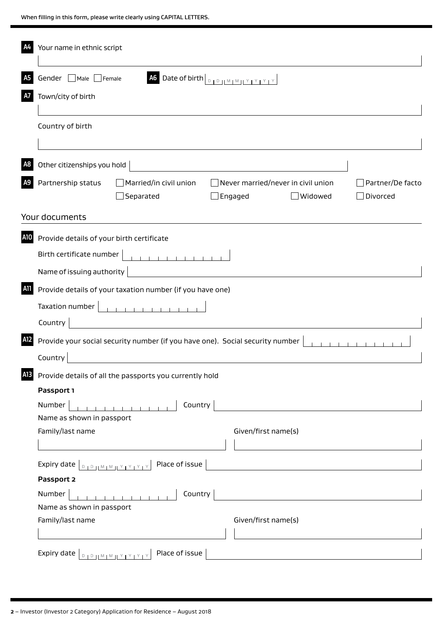|            | Your name in ethnic script                                                                                                                                   |  |  |  |  |  |
|------------|--------------------------------------------------------------------------------------------------------------------------------------------------------------|--|--|--|--|--|
| A5         | A6 Date of birth DOUMMIY YEY<br>Gender Male Female                                                                                                           |  |  |  |  |  |
| A7         | Town/city of birth                                                                                                                                           |  |  |  |  |  |
|            |                                                                                                                                                              |  |  |  |  |  |
|            | Country of birth                                                                                                                                             |  |  |  |  |  |
| A8         | Other citizenships you hold                                                                                                                                  |  |  |  |  |  |
| A9         | Partnership status<br>Married/in civil union<br>$\Box$ Never married/never in civil union<br>Partner/De facto<br>Separated<br>Widowed<br>Divorced<br>Engaged |  |  |  |  |  |
|            | Your documents                                                                                                                                               |  |  |  |  |  |
| A10        | Provide details of your birth certificate                                                                                                                    |  |  |  |  |  |
|            | Birth certificate number                                                                                                                                     |  |  |  |  |  |
|            | Name of issuing authority                                                                                                                                    |  |  |  |  |  |
| <b>A11</b> | Provide details of your taxation number (if you have one)                                                                                                    |  |  |  |  |  |
|            |                                                                                                                                                              |  |  |  |  |  |
|            | <u> 1990 - Johann Barbara, martin d</u><br>Country                                                                                                           |  |  |  |  |  |
| A12        | Provide your social security number (if you have one). Social security number                                                                                |  |  |  |  |  |
|            | Country                                                                                                                                                      |  |  |  |  |  |
| A13        | Provide details of all the passports you currently hold                                                                                                      |  |  |  |  |  |
|            | Passport 1                                                                                                                                                   |  |  |  |  |  |
|            | Number<br>Country<br>and the company of the com-                                                                                                             |  |  |  |  |  |
|            | Name as shown in passport                                                                                                                                    |  |  |  |  |  |
|            | Family/last name<br>Given/first name(s)                                                                                                                      |  |  |  |  |  |
|            |                                                                                                                                                              |  |  |  |  |  |
|            | Place of issue<br>Expiry date   DIDJLMIMJLYTYTYTY<br><u> 1989 - John Stein, Amerikaansk politiker (</u>                                                      |  |  |  |  |  |
|            | Passport 2                                                                                                                                                   |  |  |  |  |  |
|            | Number<br>Country<br><b>CONTRACTOR</b><br>Name as shown in passport                                                                                          |  |  |  |  |  |
|            | Family/last name<br>Given/first name(s)                                                                                                                      |  |  |  |  |  |
|            |                                                                                                                                                              |  |  |  |  |  |
|            | Place of issue                                                                                                                                               |  |  |  |  |  |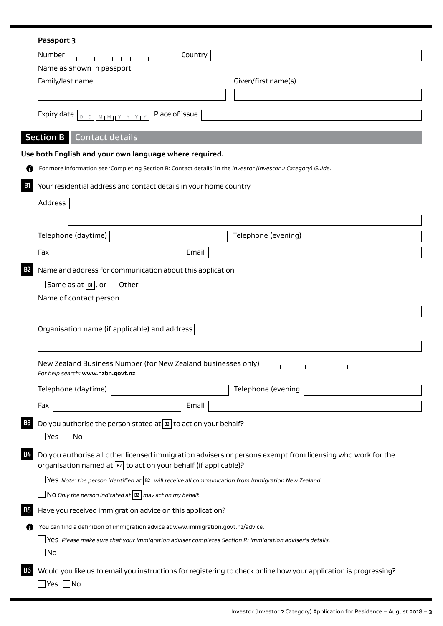| Passport 3                                                                                                                                                                                                                                                                                                                                                                                                                                           |                                                     |                                                                                                                  |
|------------------------------------------------------------------------------------------------------------------------------------------------------------------------------------------------------------------------------------------------------------------------------------------------------------------------------------------------------------------------------------------------------------------------------------------------------|-----------------------------------------------------|------------------------------------------------------------------------------------------------------------------|
| Number                                                                                                                                                                                                                                                                                                                                                                                                                                               | Country                                             |                                                                                                                  |
| Name as shown in passport                                                                                                                                                                                                                                                                                                                                                                                                                            |                                                     |                                                                                                                  |
| Family/last name                                                                                                                                                                                                                                                                                                                                                                                                                                     |                                                     | Given/first name(s)                                                                                              |
|                                                                                                                                                                                                                                                                                                                                                                                                                                                      |                                                     |                                                                                                                  |
| Expiry date $\boxed{\begin{array}{c} \text{S} \cup \text{S} \cup \text{S} \cup \text{S} \cup \text{S} \cup \text{S} \cup \text{S} \cup \text{S} \cup \text{S} \cup \text{S} \cup \text{S} \cup \text{S} \cup \text{S} \cup \text{S} \cup \text{S} \cup \text{S} \cup \text{S} \cup \text{S} \cup \text{S} \cup \text{S} \cup \text{S} \cup \text{S} \cup \text{S} \cup \text{S} \cup \text{S} \cup \text{S} \cup \text{S} \cup \text{S} \cup \text{$ |                                                     |                                                                                                                  |
| <b>Section B</b> Contact details                                                                                                                                                                                                                                                                                                                                                                                                                     |                                                     |                                                                                                                  |
| Use both English and your own language where required.                                                                                                                                                                                                                                                                                                                                                                                               |                                                     |                                                                                                                  |
| For more information see 'Completing Section B: Contact details' in the Investor (Investor 2 Category) Guide.                                                                                                                                                                                                                                                                                                                                        |                                                     |                                                                                                                  |
| Your residential address and contact details in your home country                                                                                                                                                                                                                                                                                                                                                                                    |                                                     |                                                                                                                  |
| <b>Address</b>                                                                                                                                                                                                                                                                                                                                                                                                                                       | <u> 1989 - Andrea Station, amerikansk politik (</u> |                                                                                                                  |
|                                                                                                                                                                                                                                                                                                                                                                                                                                                      |                                                     |                                                                                                                  |
|                                                                                                                                                                                                                                                                                                                                                                                                                                                      |                                                     |                                                                                                                  |
| Telephone (daytime)                                                                                                                                                                                                                                                                                                                                                                                                                                  |                                                     | Telephone (evening)                                                                                              |
| Fax                                                                                                                                                                                                                                                                                                                                                                                                                                                  | Email                                               |                                                                                                                  |
| Organisation name (if applicable) and address                                                                                                                                                                                                                                                                                                                                                                                                        |                                                     |                                                                                                                  |
|                                                                                                                                                                                                                                                                                                                                                                                                                                                      |                                                     |                                                                                                                  |
| New Zealand Business Number (for New Zealand businesses only)<br>For help search: www.nzbn.govt.nz                                                                                                                                                                                                                                                                                                                                                   |                                                     |                                                                                                                  |
| Telephone (daytime)                                                                                                                                                                                                                                                                                                                                                                                                                                  |                                                     | Telephone (evening                                                                                               |
| Fax                                                                                                                                                                                                                                                                                                                                                                                                                                                  | Email                                               |                                                                                                                  |
| Do you authorise the person stated at $\boxed{B2}$ to act on your behalf?                                                                                                                                                                                                                                                                                                                                                                            |                                                     |                                                                                                                  |
| _ Yes  __ No                                                                                                                                                                                                                                                                                                                                                                                                                                         |                                                     |                                                                                                                  |
| organisation named at $\boxed{B}$ to act on your behalf (if applicable)?                                                                                                                                                                                                                                                                                                                                                                             |                                                     | Do you authorise all other licensed immigration advisers or persons exempt from licensing who work for the       |
| Yes Note: the person identified at $\boxed{B2}$ will receive all communication from Immigration New Zealand.                                                                                                                                                                                                                                                                                                                                         |                                                     |                                                                                                                  |
| NO Only the person indicated at $ B2 $ may act on my behalf.                                                                                                                                                                                                                                                                                                                                                                                         |                                                     |                                                                                                                  |
| Have you received immigration advice on this application?                                                                                                                                                                                                                                                                                                                                                                                            |                                                     |                                                                                                                  |
| You can find a definition of immigration advice at www.immigration.govt.nz/advice.                                                                                                                                                                                                                                                                                                                                                                   |                                                     |                                                                                                                  |
| Yes Please make sure that your immigration adviser completes Section R: Immigration adviser's details.                                                                                                                                                                                                                                                                                                                                               |                                                     |                                                                                                                  |
| _  No                                                                                                                                                                                                                                                                                                                                                                                                                                                |                                                     |                                                                                                                  |
|                                                                                                                                                                                                                                                                                                                                                                                                                                                      |                                                     |                                                                                                                  |
|                                                                                                                                                                                                                                                                                                                                                                                                                                                      |                                                     |                                                                                                                  |
| Yes $\Box$ No                                                                                                                                                                                                                                                                                                                                                                                                                                        |                                                     | Would you like us to email you instructions for registering to check online how your application is progressing? |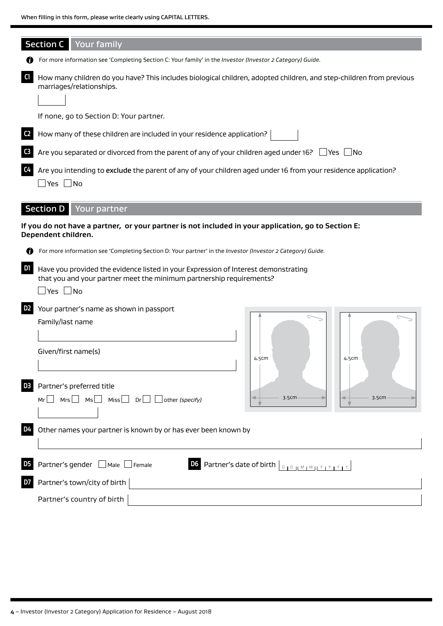|                | <b>Section C</b> Your family                                                                                                                                                           |
|----------------|----------------------------------------------------------------------------------------------------------------------------------------------------------------------------------------|
|                | For more information see 'Completing Section C: Your family' in the Investor (Investor 2 Category) Guide.                                                                              |
| C1             | How many children do you have? This includes biological children, adopted children, and step-children from previous<br>marriages/relationships.                                        |
|                |                                                                                                                                                                                        |
|                | If none, go to Section D: Your partner.                                                                                                                                                |
| C <sub>2</sub> | How many of these children are included in your residence application?                                                                                                                 |
| C <sub>3</sub> | Are you separated or divorced from the parent of any of your children aged under 16? $\Box$ Yes $\Box$ No                                                                              |
| C4             | Are you intending to exclude the parent of any of your children aged under 16 from your residence application?<br>$\exists$ Yes $\,\Box$ No                                            |
|                | <b>Section D</b> Your partner                                                                                                                                                          |
|                | If you do not have a partner, or your partner is not included in your application, go to Section E:<br>Dependent children.                                                             |
|                | For more information see 'Completing Section D: Your partner' in the Investor (Investor 2 Category) Guide.                                                                             |
| D1             | Have you provided the evidence listed in your Expression of Interest demonstrating<br>that you and your partner meet the minimum partnership requirements?<br>$\sqcup$ Yes $\sqcup$ No |
| D <sub>2</sub> | Your partner's name as shown in passport                                                                                                                                               |
|                | Family/last name                                                                                                                                                                       |
|                |                                                                                                                                                                                        |
|                | Given/first name(s)<br>4.5cm<br>4.5cm                                                                                                                                                  |
| D <sub>3</sub> | Partner's preferred title                                                                                                                                                              |
|                | 3.5cm<br>3.5cm<br>Mrs $\Box$ Ms $\Box$ Miss $\Box$ Dr $\Box$ $\Box$ other (specify)<br>$Mr$                                                                                            |
| D4             | Other names your partner is known by or has ever been known by                                                                                                                         |
| D <sub>5</sub> | Partner's gender Male Female<br>D6 Partner's date of birth $\Big\lfloor \frac{D}{D} \frac{1}{D} \frac{1}{(M+M+1)^2} \frac{1}{(M+1)^2} \Big\rfloor$                                     |
| D7             | Partner's town/city of birth                                                                                                                                                           |
|                | Partner's country of birth                                                                                                                                                             |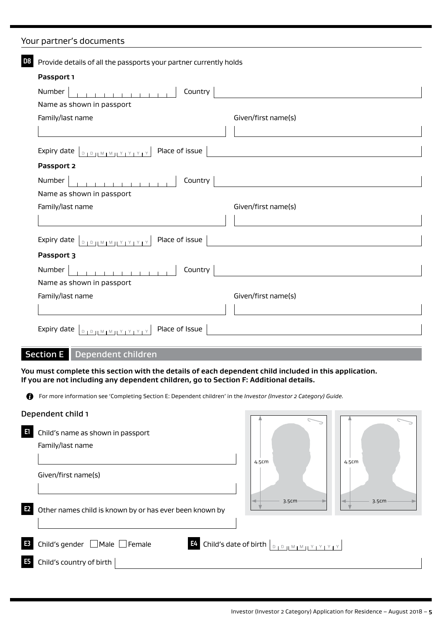# Your partner's documents

| D8 | Provide details of all the passports your partner currently holds                                                     |                     |  |
|----|-----------------------------------------------------------------------------------------------------------------------|---------------------|--|
|    | Passport 1                                                                                                            |                     |  |
|    | .<br>Country<br>Number                                                                                                |                     |  |
|    | Name as shown in passport                                                                                             |                     |  |
|    | Family/last name                                                                                                      | Given/first name(s) |  |
|    |                                                                                                                       |                     |  |
|    | Place of issue<br>Expiry date $\boxed{D_1D_2M_1M_1Y_1Y_1Y_1Y_2}$                                                      |                     |  |
|    | Passport 2                                                                                                            |                     |  |
|    | Number<br>Country                                                                                                     |                     |  |
|    | Name as shown in passport                                                                                             |                     |  |
|    | Family/last name                                                                                                      | Given/first name(s) |  |
|    |                                                                                                                       |                     |  |
|    | Place of issue<br>Expiry date $\boxed{D_1D_1M_1M_1Y_1Y_1Y_1Y_2}$                                                      |                     |  |
|    | Passport 3                                                                                                            |                     |  |
|    | .<br>Country<br>Number                                                                                                |                     |  |
|    | Name as shown in passport                                                                                             |                     |  |
|    | Family/last name                                                                                                      | Given/first name(s) |  |
|    |                                                                                                                       |                     |  |
|    | Place of Issue<br>Expiry date $ _{\mathbb{D}_1 \mathbb{D}_1   \mathbb{M}_1 \mathbb{M}_2   \mathbb{M}_2 \mathbb{M}_3}$ |                     |  |

# Section E Dependent children

**You must complete this section with the details of each dependent child included in this application. If you are not including any dependent children, go to Section F: Additional details.**

For more information see 'Completing Section E: Dependent children' in the *Investor (Investor 2 Category) Guide.*

#### Dependent child 1

|                | Dependent child 1                                       |                                                                                                                                                                    |       |       |
|----------------|---------------------------------------------------------|--------------------------------------------------------------------------------------------------------------------------------------------------------------------|-------|-------|
| E1             | Child's name as shown in passport<br>Family/last name   |                                                                                                                                                                    |       |       |
|                | Given/first name(s)                                     | 4.5cm                                                                                                                                                              | 4.5cm |       |
| E <sub>2</sub> | Other names child is known by or has ever been known by | 3.5cm                                                                                                                                                              |       | 3.5cm |
| E <sub>3</sub> | Child's gender $\Box$ Male $\Box$ Female                | <b>E4</b> Child's date of birth $\vert_{\mathbb{D}_1\mathbb{D}_1\mathbb{M}_1\mathbb{M}_1\mathbb{M}_1\mathbb{M}_1\mathbb{M}_1\mathbb{M}_1\mathbb{M}_1\mathbb{M}_1}$ |       |       |
| E <sub>5</sub> | Child's country of birth                                |                                                                                                                                                                    |       |       |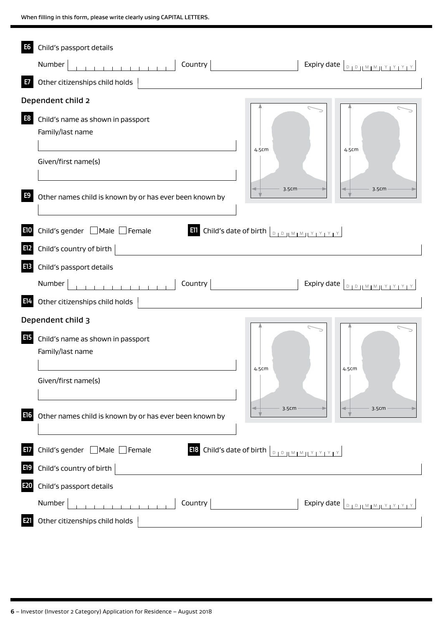| E6             | Child's passport details                                                                                                                                                             |
|----------------|--------------------------------------------------------------------------------------------------------------------------------------------------------------------------------------|
|                | Country<br>Number                                                                                                                                                                    |
| E7             | Other citizenships child holds                                                                                                                                                       |
|                | Dependent child 2                                                                                                                                                                    |
| E <sub>8</sub> | Child's name as shown in passport<br>Family/last name<br>4.5cm<br>4.5cm                                                                                                              |
|                | Given/first name(s)                                                                                                                                                                  |
| E9             | 3.5cm<br>3.5cm<br>Other names child is known by or has ever been known by                                                                                                            |
| E10            | Child's gender ■ Male ■ Female<br><b>Ell</b> Child's date of birth $\left[\begin{array}{c c} 0 & 0 \end{array}\right]$ $\left[\begin{array}{c c} M & M & N & N+1 \end{array}\right]$ |
| E12            | Child's country of birth                                                                                                                                                             |
| <b>E13</b>     | Child's passport details                                                                                                                                                             |
|                | Country<br>Expiry date $\boxed{\text{max}$ $\frac{1}{2}$ $\frac{1}{2}$ $\frac{1}{2}$ $\frac{1}{2}$ $\frac{1}{2}$ $\frac{1}{2}$ $\frac{1}{2}$ $\frac{1}{2}$ $\frac{1}{2}$<br>Number   |
| E14            | Other citizenships child holds                                                                                                                                                       |
|                | Dependent child 3                                                                                                                                                                    |
| <b>E15</b>     | Child's name as shown in passport<br>Family/last name<br>4.5cm<br>4.5cm                                                                                                              |
|                | Given/first name(s)<br>3.5cm<br>3.5cm                                                                                                                                                |
| E16            | Other names child is known by or has ever been known by                                                                                                                              |
| E17            | Child's gender ■ Male ■ Female<br>E18 Child's date of birth DIDIMIMILY IYIYIY                                                                                                        |
| E19            | Child's country of birth                                                                                                                                                             |
| E20            | Child's passport details                                                                                                                                                             |
|                | Country<br>Number<br>Expiry date $\boxed{\text{max}$                                                                                                                                 |
| E21            | Other citizenships child holds                                                                                                                                                       |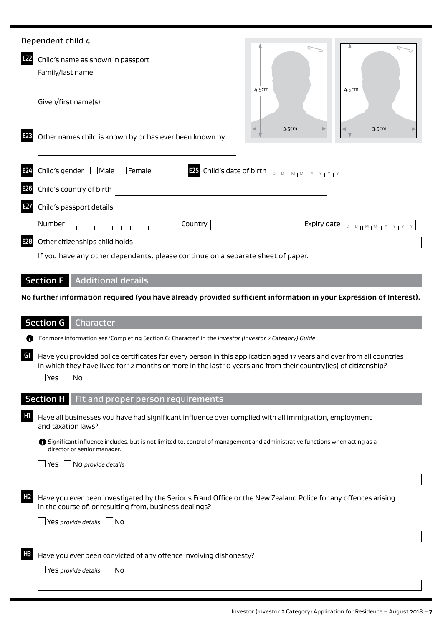|                 | Dependent child 4                                                                                                                                                                                                                                                                                                                                                                                                                                       |
|-----------------|---------------------------------------------------------------------------------------------------------------------------------------------------------------------------------------------------------------------------------------------------------------------------------------------------------------------------------------------------------------------------------------------------------------------------------------------------------|
| E22             | Child's name as shown in passport<br>Family/last name<br>4.5cm<br>4.5cm                                                                                                                                                                                                                                                                                                                                                                                 |
|                 | Given/first name(s)                                                                                                                                                                                                                                                                                                                                                                                                                                     |
| E23             | 3.5cm<br>3.5cm<br>Other names child is known by or has ever been known by                                                                                                                                                                                                                                                                                                                                                                               |
| E24             | <b>E25</b> Child's date of birth $\left[\begin{array}{c c} 0 & 0 & \text{if } 0 & \text{if } 0 & \text{if } 0 & \text{if } 0 & \text{if } 0 & \text{if } 0 & \text{if } 0 & \text{if } 0 & \text{if } 0 & \text{if } 0 & \text{if } 0 & \text{if } 0 & \text{if } 0 & \text{if } 0 & \text{if } 0 & \text{if } 0 & \text{if } 0 & \text{if } 0 & \text{if } 0 & \text{if } 0 & \text{if } 0 & \text{if } 0$<br>Child's gender $\Box$ Male $\Box$ Female |
| E <sub>26</sub> | Child's country of birth $ $                                                                                                                                                                                                                                                                                                                                                                                                                            |
| E27             | Child's passport details                                                                                                                                                                                                                                                                                                                                                                                                                                |
|                 | 1111111111111<br>Country 2001 and the country of the country of the country of the country of the country of the country of the country of the country of the country of the country of the country of the country of the country of the countr<br>Expiry date $\boxed{\text{p}_1\text{p}_1\text{M}_1\text{M}_1\text{Y}_1\text{Y}_1\text{Y}_1\text{Y}_2}$<br>Number                                                                                     |
| E <sub>28</sub> | Other citizenships child holds                                                                                                                                                                                                                                                                                                                                                                                                                          |
|                 | If you have any other dependants, please continue on a separate sheet of paper.                                                                                                                                                                                                                                                                                                                                                                         |
|                 | <b>Section F</b> Additional details                                                                                                                                                                                                                                                                                                                                                                                                                     |
|                 | No further information required (you have already provided sufficient information in your Expression of Interest).                                                                                                                                                                                                                                                                                                                                      |
|                 | <b>Section G</b><br>Character                                                                                                                                                                                                                                                                                                                                                                                                                           |
|                 | For more information see 'Completing Section G: Character' in the Investor (Investor 2 Category) Guide.                                                                                                                                                                                                                                                                                                                                                 |
| G1              | Have you provided police certificates for every person in this application aged 17 years and over from all countries<br>in which they have lived for 12 months or more in the last 10 years and from their country(ies) of citizenship?<br>_ Yes  <br>$\blacksquare$ No                                                                                                                                                                                 |
|                 | <b>Section H</b> Fit and proper person requirements                                                                                                                                                                                                                                                                                                                                                                                                     |
| H1              | Have all businesses you have had significant influence over complied with all immigration, employment<br>and taxation laws?                                                                                                                                                                                                                                                                                                                             |
|                 | Significant influence includes, but is not limited to, control of management and administrative functions when acting as a<br>director or senior manager.                                                                                                                                                                                                                                                                                               |
|                 |                                                                                                                                                                                                                                                                                                                                                                                                                                                         |
|                 | $\Box$ No provide details<br>Yes                                                                                                                                                                                                                                                                                                                                                                                                                        |
| H <sub>2</sub>  | Have you ever been investigated by the Serious Fraud Office or the New Zealand Police for any offences arising<br>in the course of, or resulting from, business dealings?                                                                                                                                                                                                                                                                               |
|                 | Yes provide details $\Box$ No                                                                                                                                                                                                                                                                                                                                                                                                                           |

Yes *provide details* No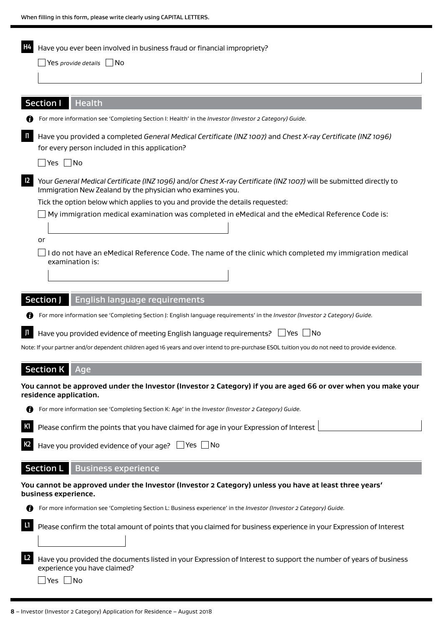| H4             | Have you ever been involved in business fraud or financial impropriety?                                                                                                           |
|----------------|-----------------------------------------------------------------------------------------------------------------------------------------------------------------------------------|
|                | $\Box$ Yes provide details $\Box$ No                                                                                                                                              |
|                |                                                                                                                                                                                   |
|                |                                                                                                                                                                                   |
|                | <b>Section I</b><br>Health                                                                                                                                                        |
|                | For more information see 'Completing Section I: Health' in the Investor (Investor 2 Category) Guide.                                                                              |
| $\blacksquare$ | Have you provided a completed General Medical Certificate (INZ 1007) and Chest X-ray Certificate (INZ 1096)<br>for every person included in this application?                     |
|                | $\Box$ Yes $\Box$ No                                                                                                                                                              |
| $\mathsf{I2}$  | Your General Medical Certificate (INZ 1096) and/or Chest X-ray Certificate (INZ 1007) will be submitted directly to<br>Immigration New Zealand by the physician who examines you. |
|                | Tick the option below which applies to you and provide the details requested:                                                                                                     |
|                | My immigration medical examination was completed in eMedical and the eMedical Reference Code is:                                                                                  |
|                |                                                                                                                                                                                   |
|                | or<br>do not have an eMedical Reference Code. The name of the clinic which completed my immigration medical<br>examination is:                                                    |
|                |                                                                                                                                                                                   |
|                |                                                                                                                                                                                   |
|                | Section J<br>English language requirements                                                                                                                                        |
|                | For more information see 'Completing Section J: English language requirements' in the Investor (Investor 2 Category) Guide.                                                       |
| <b>JI</b>      | Have you provided evidence of meeting English language requirements? $\Box$ Yes $\Box$ No                                                                                         |
|                | Note: If your partner and/or dependent children aged 16 years and over intend to pre-purchase ESOL tuition you do not need to provide evidence.                                   |
|                |                                                                                                                                                                                   |
|                | Section K Age                                                                                                                                                                     |
|                | You cannot be approved under the Investor (Investor 2 Category) if you are aged 66 or over when you make your<br>residence application.                                           |
|                | For more information see 'Completing Section K: Age' in the Investor (Investor 2 Category) Guide.                                                                                 |
| К1             | Please confirm the points that you have claimed for age in your Expression of Interest                                                                                            |
|                |                                                                                                                                                                                   |
| K <sub>2</sub> | Have you provided evidence of your age? $\Box$ Yes $\Box$ No                                                                                                                      |
|                | <b>Section L</b><br><b>Business experience</b>                                                                                                                                    |
|                | You cannot be approved under the Investor (Investor 2 Category) unless you have at least three years'<br>business experience.                                                     |
|                | For more information see 'Completing Section L: Business experience' in the Investor (Investor 2 Category) Guide.                                                                 |
| L1             | Please confirm the total amount of points that you claimed for business experience in your Expression of Interest                                                                 |
|                |                                                                                                                                                                                   |
| L2             | Have you provided the documents listed in your Expression of Interest to support the number of years of business<br>experience you have claimed?                                  |

■Yes ■ No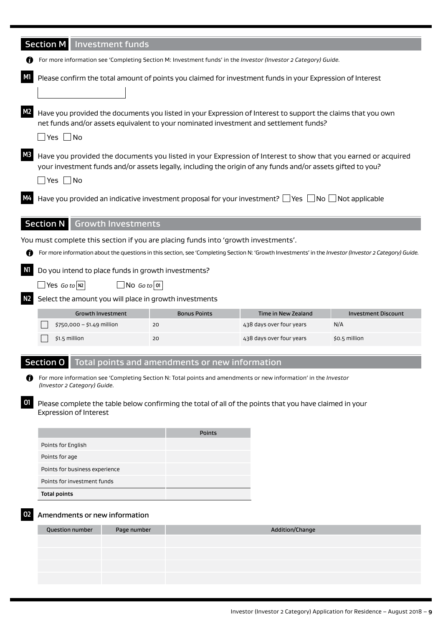|                                                                                                                                                | <b>Section M</b> Investment funds                                                                                                                                                                                                                    |                           |                                                                                    |  |                                                                                                                     |                                                                                                                                                        |
|------------------------------------------------------------------------------------------------------------------------------------------------|------------------------------------------------------------------------------------------------------------------------------------------------------------------------------------------------------------------------------------------------------|---------------------------|------------------------------------------------------------------------------------|--|---------------------------------------------------------------------------------------------------------------------|--------------------------------------------------------------------------------------------------------------------------------------------------------|
|                                                                                                                                                |                                                                                                                                                                                                                                                      |                           |                                                                                    |  | For more information see 'Completing Section M: Investment funds' in the Investor (Investor 2 Category) Guide.      |                                                                                                                                                        |
| M1                                                                                                                                             | Please confirm the total amount of points you claimed for investment funds in your Expression of Interest                                                                                                                                            |                           |                                                                                    |  |                                                                                                                     |                                                                                                                                                        |
| <b>M2</b>                                                                                                                                      | Have you provided the documents you listed in your Expression of Interest to support the claims that you own<br>net funds and/or assets equivalent to your nominated investment and settlement funds?<br>$\Box$ Yes $\Box$ No                        |                           |                                                                                    |  |                                                                                                                     |                                                                                                                                                        |
| M3                                                                                                                                             | Have you provided the documents you listed in your Expression of Interest to show that you earned or acquired<br>your investment funds and/or assets legally, including the origin of any funds and/or assets gifted to you?<br>$\Box$ Yes $\Box$ No |                           |                                                                                    |  |                                                                                                                     |                                                                                                                                                        |
|                                                                                                                                                |                                                                                                                                                                                                                                                      |                           |                                                                                    |  | Have you provided an indicative investment proposal for your investment? $\Box$ Yes $\Box$ No $\Box$ Not applicable |                                                                                                                                                        |
|                                                                                                                                                | Section N                                                                                                                                                                                                                                            | <b>Growth Investments</b> |                                                                                    |  |                                                                                                                     |                                                                                                                                                        |
|                                                                                                                                                |                                                                                                                                                                                                                                                      |                           | You must complete this section if you are placing funds into 'growth investments'. |  |                                                                                                                     |                                                                                                                                                        |
| O                                                                                                                                              |                                                                                                                                                                                                                                                      |                           |                                                                                    |  |                                                                                                                     | For more information about the questions in this section, see 'Completing Section N: 'Growth Investments' in the Investor (Investor 2 Category) Guide. |
| N1<br>N2                                                                                                                                       | Do you intend to place funds in growth investments?<br>$\Box$ Yes <i>Go</i> to N2<br>$\Box$ No Go to 01<br>Select the amount you will place in growth investments                                                                                    |                           |                                                                                    |  |                                                                                                                     |                                                                                                                                                        |
|                                                                                                                                                |                                                                                                                                                                                                                                                      | <b>Growth Investment</b>  | <b>Bonus Points</b>                                                                |  | <b>Time in New Zealand</b>                                                                                          | <b>Investment Discount</b>                                                                                                                             |
|                                                                                                                                                | \$750,000 - \$1.49 million                                                                                                                                                                                                                           |                           | 20                                                                                 |  | 438 days over four years                                                                                            | N/A                                                                                                                                                    |
|                                                                                                                                                | \$1.5 million                                                                                                                                                                                                                                        |                           | 20                                                                                 |  | 438 days over four years                                                                                            | \$0.5 million                                                                                                                                          |
|                                                                                                                                                | Section 0                                                                                                                                                                                                                                            |                           | Total points and amendments or new information                                     |  |                                                                                                                     |                                                                                                                                                        |
| 69                                                                                                                                             | (Investor 2 Category) Guide.                                                                                                                                                                                                                         |                           |                                                                                    |  | For more information see 'Completing Section N: Total points and amendments or new information' in the Investor     |                                                                                                                                                        |
| 01<br>Please complete the table below confirming the total of all of the points that you have claimed in your<br><b>Expression of Interest</b> |                                                                                                                                                                                                                                                      |                           |                                                                                    |  |                                                                                                                     |                                                                                                                                                        |
|                                                                                                                                                |                                                                                                                                                                                                                                                      |                           | <b>Points</b>                                                                      |  |                                                                                                                     |                                                                                                                                                        |
|                                                                                                                                                | Points for English                                                                                                                                                                                                                                   |                           |                                                                                    |  |                                                                                                                     |                                                                                                                                                        |
|                                                                                                                                                | Points for age                                                                                                                                                                                                                                       |                           |                                                                                    |  |                                                                                                                     |                                                                                                                                                        |
|                                                                                                                                                | Points for business experience                                                                                                                                                                                                                       |                           |                                                                                    |  |                                                                                                                     |                                                                                                                                                        |
| Points for investment funds                                                                                                                    |                                                                                                                                                                                                                                                      |                           |                                                                                    |  |                                                                                                                     |                                                                                                                                                        |
|                                                                                                                                                | <b>Total points</b>                                                                                                                                                                                                                                  |                           |                                                                                    |  |                                                                                                                     |                                                                                                                                                        |
|                                                                                                                                                | Amendments or new information                                                                                                                                                                                                                        |                           |                                                                                    |  |                                                                                                                     |                                                                                                                                                        |
|                                                                                                                                                | <b>Question number</b>                                                                                                                                                                                                                               | Page number               |                                                                                    |  | Addition/Change                                                                                                     |                                                                                                                                                        |
|                                                                                                                                                |                                                                                                                                                                                                                                                      |                           |                                                                                    |  |                                                                                                                     |                                                                                                                                                        |
|                                                                                                                                                |                                                                                                                                                                                                                                                      |                           |                                                                                    |  |                                                                                                                     |                                                                                                                                                        |
|                                                                                                                                                |                                                                                                                                                                                                                                                      |                           |                                                                                    |  |                                                                                                                     |                                                                                                                                                        |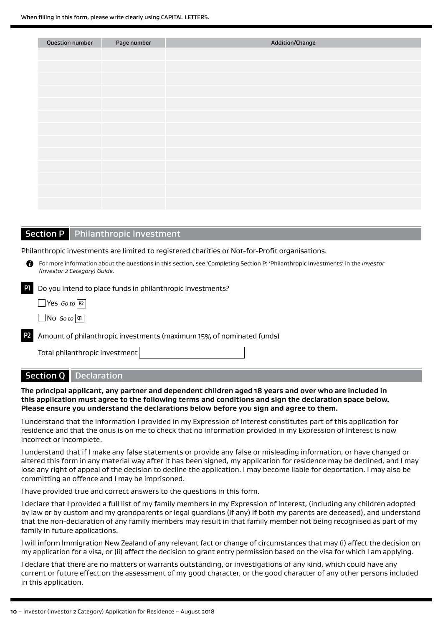| <b>Question number</b> | Page number | Addition/Change |
|------------------------|-------------|-----------------|
|                        |             |                 |
|                        |             |                 |
|                        |             |                 |
|                        |             |                 |
|                        |             |                 |
|                        |             |                 |
|                        |             |                 |
|                        |             |                 |
|                        |             |                 |
|                        |             |                 |
|                        |             |                 |
|                        |             |                 |
|                        |             |                 |

## **Section P** Philanthropic Investment

Philanthropic investments are limited to registered charities or Not-for-Profit organisations.

For more information about the questions in this section, see 'Completing Section P: 'Philanthropic Investments' in the *Investor (Investor 2 Category) Guide.*

**P1** Do you intend to place funds in philanthropic investments?

Yes *Go to* **P2** 

 $\Box$  No *Go to*  $\boxed{q}$ 

**P2** Amount of philanthropic investments (maximum 15% of nominated funds)

Total philanthropic investment

# Section Q Declaration

**The principal applicant, any partner and dependent children aged 18 years and over who are included in this application must agree to the following terms and conditions and sign the declaration space below. Please ensure you understand the declarations below before you sign and agree to them.**

I understand that the information I provided in my Expression of Interest constitutes part of this application for residence and that the onus is on me to check that no information provided in my Expression of Interest is now incorrect or incomplete.

I understand that if I make any false statements or provide any false or misleading information, or have changed or altered this form in any material way after it has been signed, my application for residence may be declined, and I may lose any right of appeal of the decision to decline the application. I may become liable for deportation. I may also be committing an offence and I may be imprisoned.

I have provided true and correct answers to the questions in this form.

I declare that I provided a full list of my family members in my Expression of Interest, (including any children adopted by law or by custom and my grandparents or legal guardians (if any) if both my parents are deceased), and understand that the non-declaration of any family members may result in that family member not being recognised as part of my family in future applications.

I will inform Immigration New Zealand of any relevant fact or change of circumstances that may (i) affect the decision on my application for a visa, or (ii) affect the decision to grant entry permission based on the visa for which I am applying.

I declare that there are no matters or warrants outstanding, or investigations of any kind, which could have any current or future effect on the assessment of my good character, or the good character of any other persons included in this application.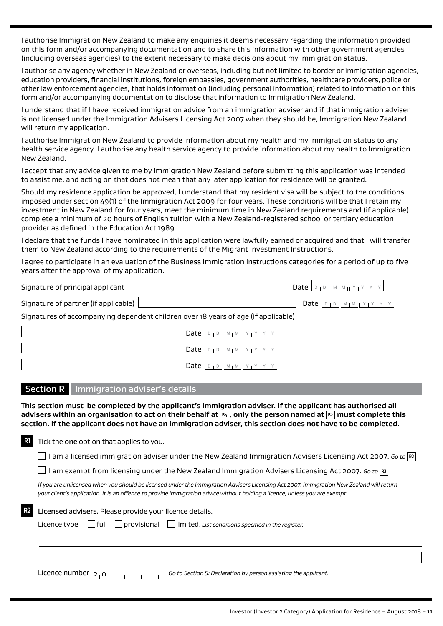I authorise Immigration New Zealand to make any enquiries it deems necessary regarding the information provided on this form and/or accompanying documentation and to share this information with other government agencies (including overseas agencies) to the extent necessary to make decisions about my immigration status.

I authorise any agency whether in New Zealand or overseas, including but not limited to border or immigration agencies, education providers, financial institutions, foreign embassies, government authorities, healthcare providers, police or other law enforcement agencies, that holds information (including personal information) related to information on this form and/or accompanying documentation to disclose that information to Immigration New Zealand.

I understand that if I have received immigration advice from an immigration adviser and if that immigration adviser is not licensed under the Immigration Advisers Licensing Act 2007 when they should be, Immigration New Zealand will return my application.

I authorise Immigration New Zealand to provide information about my health and my immigration status to any health service agency. I authorise any health service agency to provide information about my health to Immigration New Zealand.

I accept that any advice given to me by Immigration New Zealand before submitting this application was intended to assist me, and acting on that does not mean that any later application for residence will be granted.

Should my residence application be approved, I understand that my resident visa will be subject to the conditions imposed under section 49(1) of the Immigration Act 2009 for four years. These conditions will be that I retain my investment in New Zealand for four years, meet the minimum time in New Zealand requirements and (if applicable) complete a minimum of 20 hours of English tuition with a New Zealand-registered school or tertiary education provider as defined in the Education Act 1989.

I declare that the funds I have nominated in this application were lawfully earned or acquired and that I will transfer them to New Zealand according to the requirements of the Migrant Investment Instructions.

I agree to participate in an evaluation of the Business Immigration Instructions categories for a period of up to five years after the approval of my application.

| Signature of principal applicant                                                   |                                                                           |                                                                                                                                                                        |
|------------------------------------------------------------------------------------|---------------------------------------------------------------------------|------------------------------------------------------------------------------------------------------------------------------------------------------------------------|
| Signature of partner (if applicable)                                               |                                                                           | $\mathsf{Date} \mid \mathsf{open} \mathsf{M} \mathsf{M} \mathsf{M} \mathsf{M} \mathsf{M} \mathsf{M} \mathsf{M} \mathsf{M} \mathsf{M} \mathsf{M} \mathsf{M} \mathsf{M}$ |
| Signatures of accompanying dependent children over 18 years of age (if applicable) |                                                                           |                                                                                                                                                                        |
|                                                                                    | $\begin{array}{c} \begin{array}{c} \textbf{Date} \end{array} \end{array}$ |                                                                                                                                                                        |
|                                                                                    | Date $\boxed{D_1D_1M_1M_1Y_1Y_1Y_1Y_1Y}$                                  |                                                                                                                                                                        |

# Section R | Immigration adviser's details

**This section must be completed by the applicant's immigration adviser. If the applicant has authorised all**  advisers within an organisation to act on their behalf at  $|\mathbf{a}_1|$ , only the person named at  $|\mathbf{a}|$  must complete this **section. If the applicant does not have an immigration adviser, this section does not have to be completed.**

**R1** Tick the one option that applies to you.

I am a licensed immigration adviser under the New Zealand Immigration Advisers Licensing Act 2007. *Go to* **R2**

Date  $\Box$ 

 $\Box$  I am exempt from licensing under the New Zealand Immigration Advisers Licensing Act 2007. *Go to*  $\vert$ **R3**  $\vert$ 

*If you are unlicensed when you should be licensed under the Immigration Advisers Licensing Act 2007, Immigration New Zealand will return your client's application. It is an offence to provide immigration advice without holding a licence, unless you are exempt.*

| R2 I | Licensed advisers. Please provide your licence details. |  |  |                                                                                                        |  |
|------|---------------------------------------------------------|--|--|--------------------------------------------------------------------------------------------------------|--|
|      |                                                         |  |  | Licence type $\Box$ full $\Box$ provisional $\Box$ limited. List conditions specified in the register. |  |
|      |                                                         |  |  |                                                                                                        |  |
|      |                                                         |  |  |                                                                                                        |  |

Licence number  $|_{2+0}$ ,  $|_{C}$   $|_{C}$   $|_{C}$   $|_{C}$   $|_{C}$   $|_{D}$   $|_{D}$   $|_{D}$   $|_{D}$   $|_{D}$  *Go to Section S: Declaration by person assisting the applicant.*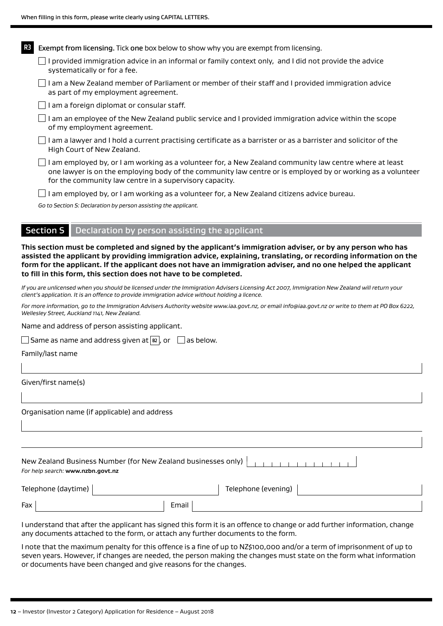| R <sub>3</sub> | Exempt from licensing. Tick one box below to show why you are exempt from licensing.                                                                                                                                                                                              |  |  |  |  |  |  |  |
|----------------|-----------------------------------------------------------------------------------------------------------------------------------------------------------------------------------------------------------------------------------------------------------------------------------|--|--|--|--|--|--|--|
|                | I provided immigration advice in an informal or family context only, and I did not provide the advice<br>systematically or for a fee.                                                                                                                                             |  |  |  |  |  |  |  |
|                | I am a New Zealand member of Parliament or member of their staff and I provided immigration advice<br>as part of my employment agreement.                                                                                                                                         |  |  |  |  |  |  |  |
|                | I am a foreign diplomat or consular staff.                                                                                                                                                                                                                                        |  |  |  |  |  |  |  |
|                | I am an employee of the New Zealand public service and I provided immigration advice within the scope<br>of my employment agreement.                                                                                                                                              |  |  |  |  |  |  |  |
|                | l am a lawyer and l hold a current practising certificate as a barrister or as a barrister and solicitor of the<br>High Court of New Zealand.                                                                                                                                     |  |  |  |  |  |  |  |
|                | I am employed by, or I am working as a volunteer for, a New Zealand community law centre where at least<br>one lawyer is on the employing body of the community law centre or is employed by or working as a volunteer<br>for the community law centre in a supervisory capacity. |  |  |  |  |  |  |  |
|                | I am employed by, or I am working as a volunteer for, a New Zealand citizens advice bureau.                                                                                                                                                                                       |  |  |  |  |  |  |  |
|                | Go to Section S: Declaration by person assisting the applicant.                                                                                                                                                                                                                   |  |  |  |  |  |  |  |
|                |                                                                                                                                                                                                                                                                                   |  |  |  |  |  |  |  |
|                | <b>Section S</b><br>Declaration by person assisting the applicant                                                                                                                                                                                                                 |  |  |  |  |  |  |  |

**This section must be completed and signed by the applicant's immigration adviser, or by any person who has assisted the applicant by providing immigration advice, explaining, translating, or recording information on the form for the applicant. If the applicant does not have an immigration adviser, and no one helped the applicant to fill in this form, this section does not have to be completed.**

*If you are unlicensed when you should be licensed under the Immigration Advisers Licensing Act 2007, Immigration New Zealand will return your client's application. It is an offence to provide immigration advice without holding a licence.*

*For more information, go to the Immigration Advisers Authority website www.iaa.govt.nz, or email info@iaa.govt.nz or write to them at PO Box 6222, Wellesley Street, Auckland 1141, New Zealand.*

Name and address of person assisting applicant.

|  | Same as name and address given at  B2  , or |  |  |  |  |  | Tas below. |
|--|---------------------------------------------|--|--|--|--|--|------------|
|--|---------------------------------------------|--|--|--|--|--|------------|

Family/last name

Given/first name(s)

Organisation name (if applicable) and address

| For help search: www.nzbn.govt.nz |  |  |  |  |  |  |  |
|-----------------------------------|--|--|--|--|--|--|--|

Telephone (evening)

 $\begin{array}{|c|c|c|}\hline \text{Fax} & \text{Email} \\\hline \end{array}$ 

I understand that after the applicant has signed this form it is an offence to change or add further information, change any documents attached to the form, or attach any further documents to the form.

I note that the maximum penalty for this offence is a fine of up to NZ\$100,000 and/or a term of imprisonment of up to seven years. However, if changes are needed, the person making the changes must state on the form what information or documents have been changed and give reasons for the changes.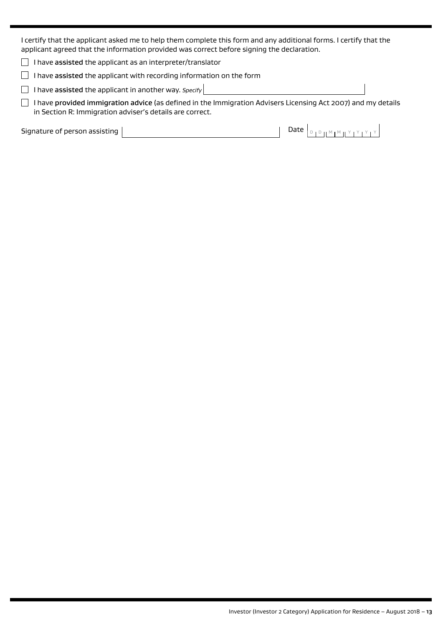I certify that the applicant asked me to help them complete this form and any additional forms. I certify that the applicant agreed that the information provided was correct before signing the declaration.

 $\Box$  I have assisted the applicant as an interpreter/translator

 $\Box$  I have assisted the applicant with recording information on the form

 $\Box$  I have assisted the applicant in another way. *Specify* 

 $\Box$  I have provided immigration advice (as defined in the Immigration Advisers Licensing Act 2007) and my details in Section R: Immigration adviser's details are correct.

Signature of person assisting  $\vert$ 

| Date $ _{\mathbb{D}_1\mathbb{D}_1}$ , $\mathbb{M}_1\mathbb{M}_2$ , $\mathbb{M}_1\mathbb{M}_2$ , $\mathbb{M}_1\mathbb{M}_2$ |  |  |  |  |  |  |  |  |  |
|----------------------------------------------------------------------------------------------------------------------------|--|--|--|--|--|--|--|--|--|
|----------------------------------------------------------------------------------------------------------------------------|--|--|--|--|--|--|--|--|--|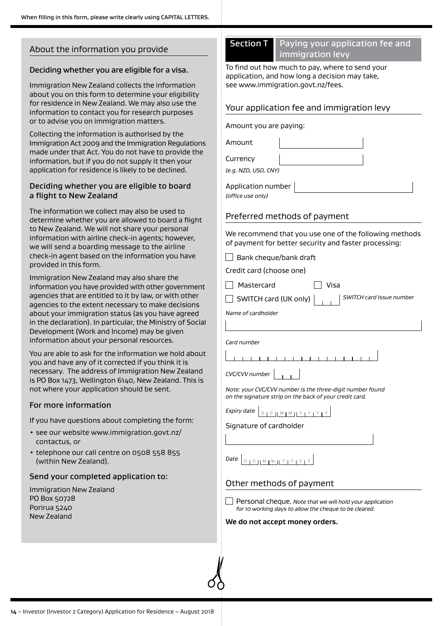# About the information you provide

#### Deciding whether you are eligible for a visa.

Immigration New Zealand collects the information about you on this form to determine your eligibility for residence in New Zealand. We may also use the information to contact you for research purposes or to advise you on immigration matters.

Collecting the information is authorised by the Immigration Act 2009 and the Immigration Regulations made under that Act. You do not have to provide the information, but if you do not supply it then your application for residence is likely to be declined.

#### Deciding whether you are eligible to board a flight to New Zealand

The information we collect may also be used to determine whether you are allowed to board a flight to New Zealand. We will not share your personal information with airline check-in agents; however, we will send a boarding message to the airline check-in agent based on the information you have provided in this form.

Immigration New Zealand may also share the information you have provided with other government agencies that are entitled to it by law, or with other agencies to the extent necessary to make decisions about your immigration status (as you have agreed in the declaration). In particular, the Ministry of Social Development (Work and Income) may be given information about your personal resources.

You are able to ask for the information we hold about you and have any of it corrected if you think it is necessary. The address of Immigration New Zealand is PO Box 1473, Wellington 6140, New Zealand. This is not where your application should be sent.

#### For more information

If you have questions about completing the form:

- see our website www.immigration.govt.nz/ contactus, or
- telephone our call centre on 0508 558 855 (within New Zealand).

#### Send your completed application to:

Immigration New Zealand PO Box 50728 Porirua 5240 New Zealand

# Section T Paying your application fee and immigration levy

To find out how much to pay, where to send your application, and how long a decision may take, see www.immigration.govt.nz/fees.

## Your application fee and immigration levy

Amount you are paying:

Amount

**Currency** 

*(e.g. NZD, USD, CNY)*

Application number *(office use only)*

## Preferred methods of payment

We recommend that you use one of the following methods of payment for better security and faster processing:

 $\Box$  Bank cheque/bank draft

Credit card (choose one)

 $\Box$  Mastercard  $\Box$  Visa

SWITCH card (UK only) *SWITCH card Issue number*

*Name of cardholder*

*Card number*

*CVC/CVV number*

*Note: your CVC/CVV number is the three-digit number found on the signature strip on the back of your credit card.*

*Expiry date*

Signature of cardholder

*Date* **DIDHMIMIYIYIY** 

# Other methods of payment

Personal cheque. *Note that we will hold your application for 10 working days to allow the cheque to be cleared.*

#### **We do not accept money orders.**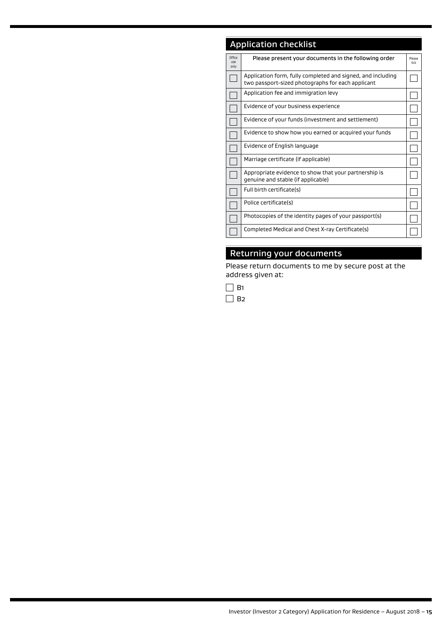# Application checklist

| Office<br>use<br>only | Please present your documents in the following order                                                             | Please<br>tick |
|-----------------------|------------------------------------------------------------------------------------------------------------------|----------------|
|                       | Application form, fully completed and signed, and including<br>two passport-sized photographs for each applicant |                |
|                       | Application fee and immigration levy                                                                             |                |
|                       | Evidence of your business experience                                                                             |                |
|                       | Evidence of your funds (investment and settlement)                                                               |                |
|                       | Evidence to show how you earned or acquired your funds                                                           |                |
|                       | Evidence of English language                                                                                     |                |
|                       | Marriage certificate (if applicable)                                                                             |                |
|                       | Appropriate evidence to show that your partnership is<br>genuine and stable (if applicable)                      |                |
|                       | Full birth certificate(s)                                                                                        |                |
|                       | Police certificate(s)                                                                                            |                |
|                       | Photocopies of the identity pages of your passport(s)                                                            |                |
|                       | Completed Medical and Chest X-ray Certificate(s)                                                                 |                |

# Returning your documents

Please return documents to me by secure post at the address given at: